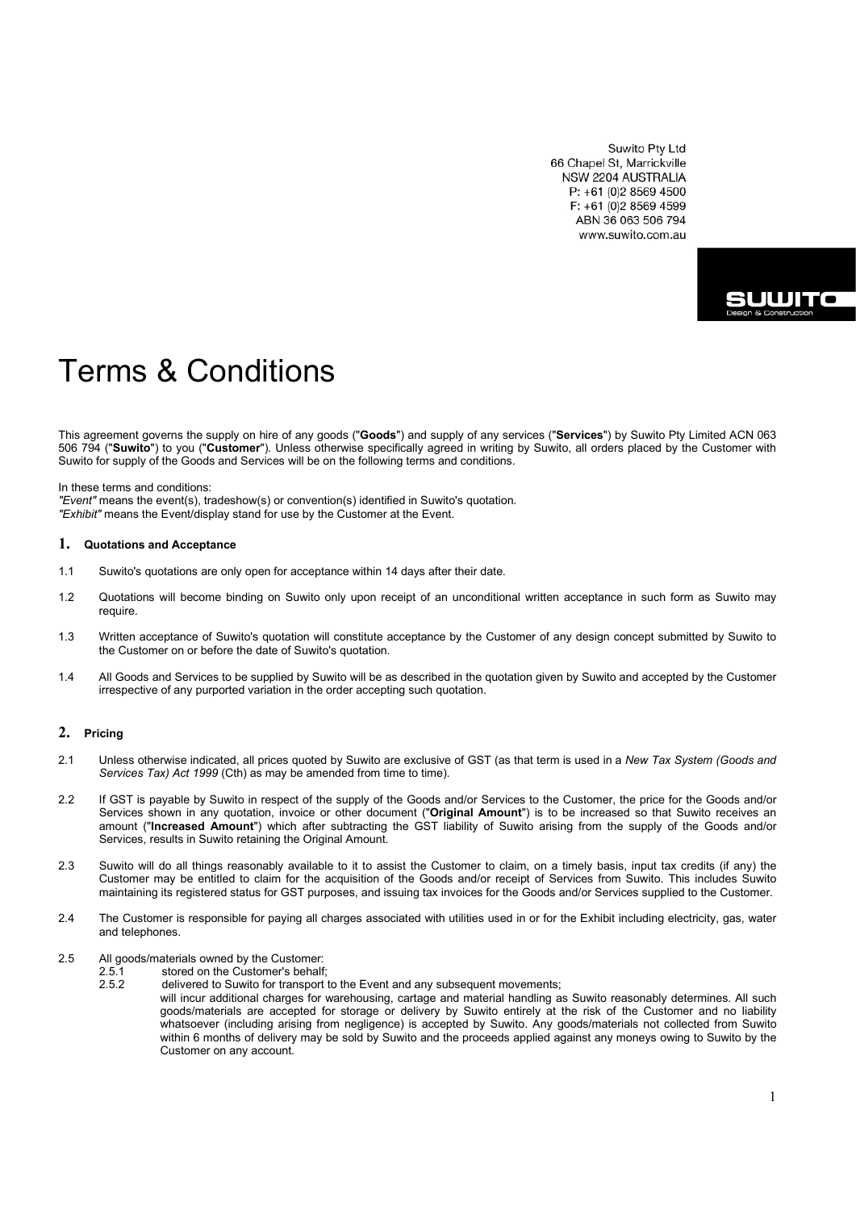Suwito Pty Ltd 66 Chapel St, Marrickville NSW 2204 AUSTRALIA P: +61 (0)2 8569 4500 F: +61 (0)2 8569 4599 ABN 36 063 506 794 www.suwito.com.au



# Terms & Conditions

This agreement governs the supply on hire of any goods ("**Goods**") and supply of any services ("**Services**") by Suwito Pty Limited ACN 063 506 794 ("**Suwito**") to you ("**Customer**"). Unless otherwise specifically agreed in writing by Suwito, all orders placed by the Customer with Suwito for supply of the Goods and Services will be on the following terms and conditions.

In these terms and conditions:

*"Event"* means the event(s), tradeshow(s) or convention(s) identified in Suwito's quotation. *"Exhibit"* means the Event/display stand for use by the Customer at the Event.

#### **1. Quotations and Acceptance**

- 1.1 Suwito's quotations are only open for acceptance within 14 days after their date.
- 1.2 Quotations will become binding on Suwito only upon receipt of an unconditional written acceptance in such form as Suwito may require.
- 1.3 Written acceptance of Suwito's quotation will constitute acceptance by the Customer of any design concept submitted by Suwito to the Customer on or before the date of Suwito's quotation.
- 1.4 All Goods and Services to be supplied by Suwito will be as described in the quotation given by Suwito and accepted by the Customer irrespective of any purported variation in the order accepting such quotation.

## **2. Pricing**

- 2.1 Unless otherwise indicated, all prices quoted by Suwito are exclusive of GST (as that term is used in a *New Tax System (Goods and*  Services Tax) Act 1999 (Cth) as may be amended from time to time).
- 2.2 If GST is payable by Suwito in respect of the supply of the Goods and/or Services to the Customer, the price for the Goods and/or Services shown in any quotation, invoice or other document ("**Original Amount**") is to be increased so that Suwito receives an amount ("**Increased Amount**") which after subtracting the GST liability of Suwito arising from the supply of the Goods and/or Services, results in Suwito retaining the Original Amount.
- 2.3 Suwito will do all things reasonably available to it to assist the Customer to claim, on a timely basis, input tax credits (if any) the Customer may be entitled to claim for the acquisition of the Goods and/or receipt of Services from Suwito. This includes Suwito maintaining its registered status for GST purposes, and issuing tax invoices for the Goods and/or Services supplied to the Customer.
- 2.4 The Customer is responsible for paying all charges associated with utilities used in or for the Exhibit including electricity, gas, water and telephones.
- 2.5 All goods/materials owned by the Customer:
	- 2.5.1 stored on the Customer's behalf;<br>2.5.2 delivered to Suwito for transport to
		- delivered to Suwito for transport to the Event and any subsequent movements;
			- will incur additional charges for warehousing, cartage and material handling as Suwito reasonably determines. All such goods/materials are accepted for storage or delivery by Suwito entirely at the risk of the Customer and no liability whatsoever (including arising from negligence) is accepted by Suwito. Any goods/materials not collected from Suwito within 6 months of delivery may be sold by Suwito and the proceeds applied against any moneys owing to Suwito by the Customer on any account.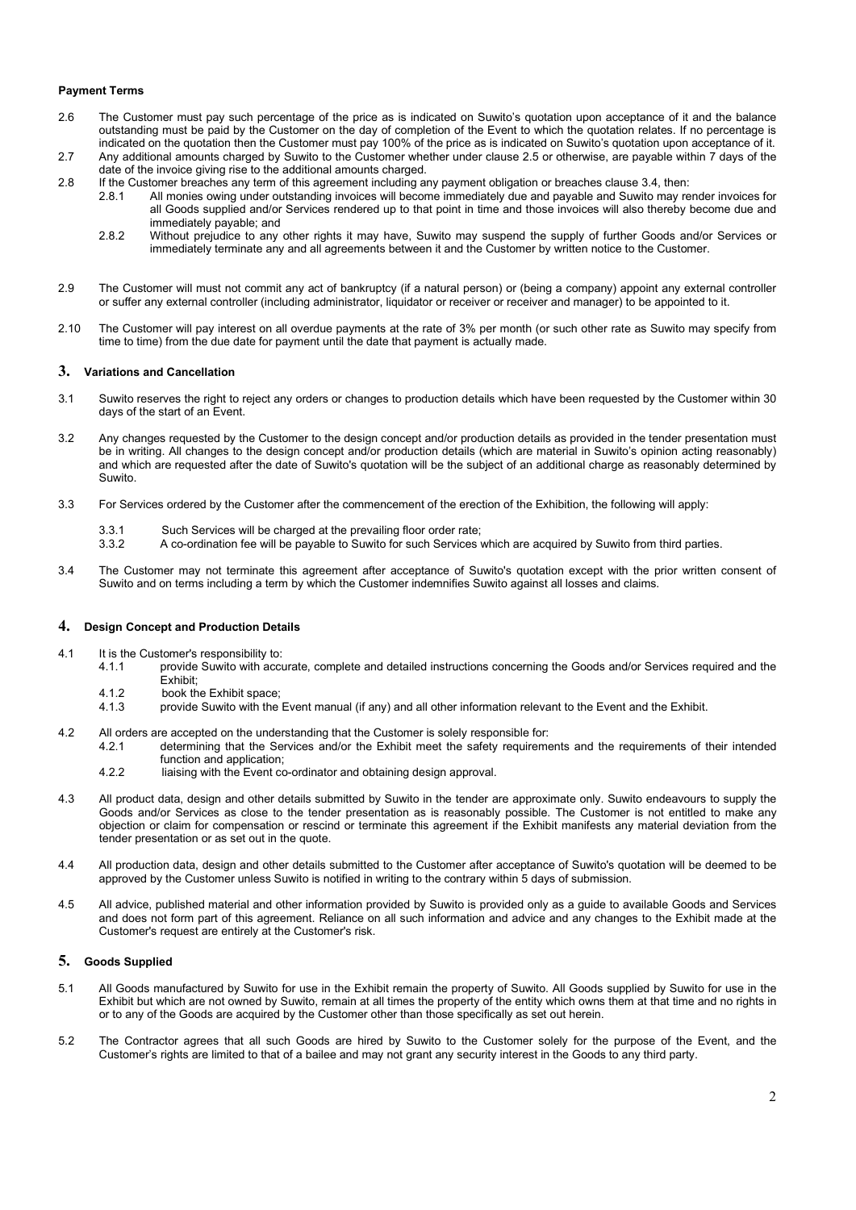## **Payment Terms**

- 2.6 The Customer must pay such percentage of the price as is indicated on Suwito's quotation upon acceptance of it and the balance outstanding must be paid by the Customer on the day of completion of the Event to which the quotation relates. If no percentage is indicated on the quotation then the Customer must pay 100% of the price as is indicated on Suwito's quotation upon acceptance of it.
- 2.7 Any additional amounts charged by Suwito to the Customer whether under clause 2.5 or otherwise, are payable within 7 days of the date of the invoice giving rise to the additional amounts charged.
- 2.8 If the Customer breaches any term of this agreement including any payment obligation or breaches clause 3.4, then:<br>2.8.1 All monies owing under outstanding invoices will become immediately due and payable and Suwito ma
	- All monies owing under outstanding invoices will become immediately due and payable and Suwito may render invoices for all Goods supplied and/or Services rendered up to that point in time and those invoices will also thereby become due and immediately payable; and
	- 2.8.2 Without prejudice to any other rights it may have, Suwito may suspend the supply of further Goods and/or Services or immediately terminate any and all agreements between it and the Customer by written notice to the Customer.
- 2.9 The Customer will must not commit any act of bankruptcy (if a natural person) or (being a company) appoint any external controller or suffer any external controller (including administrator, liquidator or receiver or receiver and manager) to be appointed to it.
- 2.10 The Customer will pay interest on all overdue payments at the rate of 3% per month (or such other rate as Suwito may specify from time to time) from the due date for payment until the date that payment is actually made.

## **3. Variations and Cancellation**

- 3.1 Suwito reserves the right to reject any orders or changes to production details which have been requested by the Customer within 30 days of the start of an Event.
- 3.2 Any changes requested by the Customer to the design concept and/or production details as provided in the tender presentation must be in writing. All changes to the design concept and/or production details (which are material in Suwito's opinion acting reasonably) and which are requested after the date of Suwito's quotation will be the subject of an additional charge as reasonably determined by Suwito.
- 3.3 For Services ordered by the Customer after the commencement of the erection of the Exhibition, the following will apply:
	- 3.3.1 Such Services will be charged at the prevailing floor order rate;
	- 3.3.2 A co-ordination fee will be payable to Suwito for such Services which are acquired by Suwito from third parties.
- 3.4 The Customer may not terminate this agreement after acceptance of Suwito's quotation except with the prior written consent of Suwito and on terms including a term by which the Customer indemnifies Suwito against all losses and claims.

#### **4. Design Concept and Production Details**

- 4.1 It is the Customer's responsibility to:<br>4.1.1 provide Suwito with accu
	- provide Suwito with accurate, complete and detailed instructions concerning the Goods and/or Services required and the Exhibit;
	- 4.1.2 book the Exhibit space;<br>4.1.3 provide Suwito with the
	- provide Suwito with the Event manual (if any) and all other information relevant to the Event and the Exhibit.
- 4.2 All orders are accepted on the understanding that the Customer is solely responsible for:<br>4.2.1 determining that the Services and/or the Exhibit meet the safety requirement
	- determining that the Services and/or the Exhibit meet the safety requirements and the requirements of their intended function and application;
		- 4.2.2 liaising with the Event co-ordinator and obtaining design approval.
- 4.3 All product data, design and other details submitted by Suwito in the tender are approximate only. Suwito endeavours to supply the Goods and/or Services as close to the tender presentation as is reasonably possible. The Customer is not entitled to make any objection or claim for compensation or rescind or terminate this agreement if the Exhibit manifests any material deviation from the tender presentation or as set out in the quote.
- 4.4 All production data, design and other details submitted to the Customer after acceptance of Suwito's quotation will be deemed to be approved by the Customer unless Suwito is notified in writing to the contrary within 5 days of submission.
- 4.5 All advice, published material and other information provided by Suwito is provided only as a guide to available Goods and Services and does not form part of this agreement. Reliance on all such information and advice and any changes to the Exhibit made at the Customer's request are entirely at the Customer's risk.

#### **5. Goods Supplied**

- 5.1 All Goods manufactured by Suwito for use in the Exhibit remain the property of Suwito. All Goods supplied by Suwito for use in the Exhibit but which are not owned by Suwito, remain at all times the property of the entity which owns them at that time and no rights in or to any of the Goods are acquired by the Customer other than those specifically as set out herein.
- 5.2 The Contractor agrees that all such Goods are hired by Suwito to the Customer solely for the purpose of the Event, and the Customer's rights are limited to that of a bailee and may not grant any security interest in the Goods to any third party.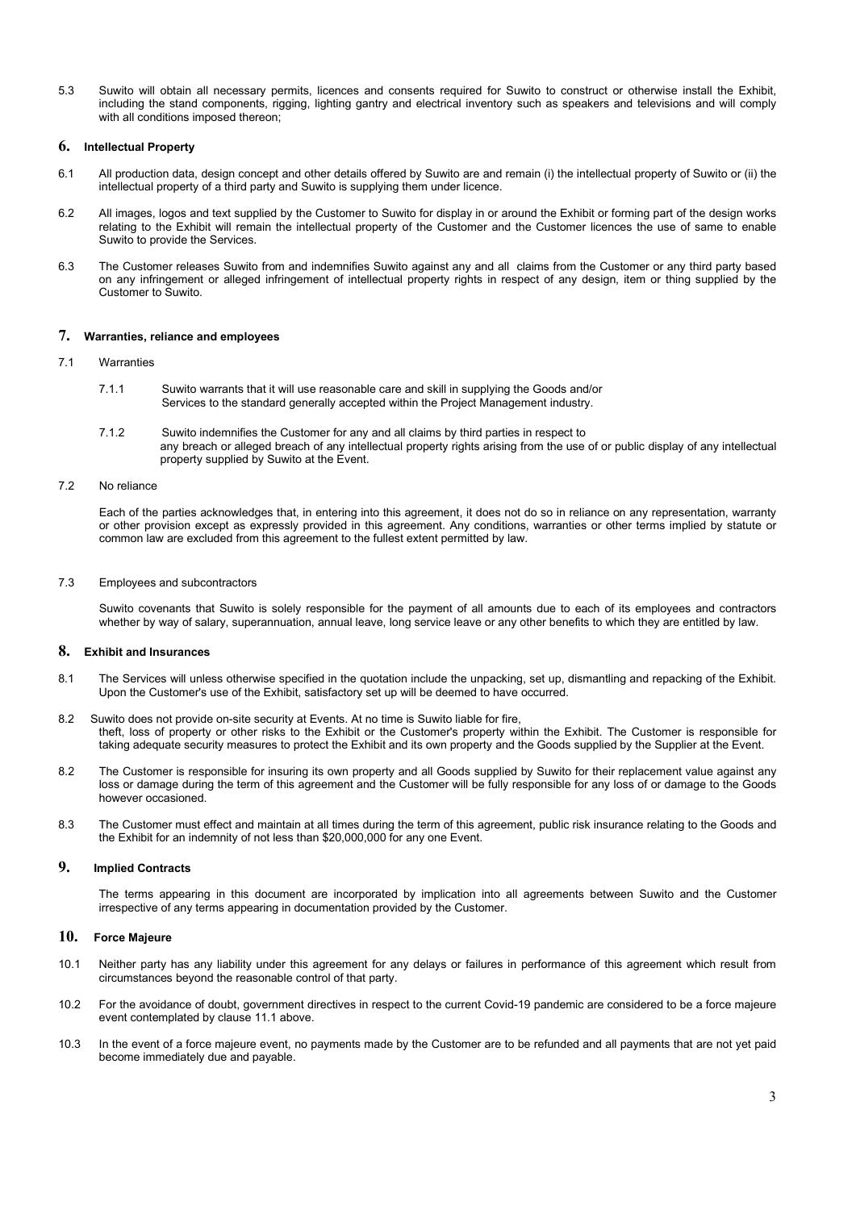5.3 Suwito will obtain all necessary permits, licences and consents required for Suwito to construct or otherwise install the Exhibit, including the stand components, rigging, lighting gantry and electrical inventory such as speakers and televisions and will comply with all conditions imposed thereon;

## **6. Intellectual Property**

- 6.1 All production data, design concept and other details offered by Suwito are and remain (i) the intellectual property of Suwito or (ii) the intellectual property of a third party and Suwito is supplying them under licence.
- 6.2 All images, logos and text supplied by the Customer to Suwito for display in or around the Exhibit or forming part of the design works relating to the Exhibit will remain the intellectual property of the Customer and the Customer licences the use of same to enable Suwito to provide the Services.
- 6.3 The Customer releases Suwito from and indemnifies Suwito against any and all claims from the Customer or any third party based on any infringement or alleged infringement of intellectual property rights in respect of any design, item or thing supplied by the Customer to Suwito.

## **7. Warranties, reliance and employees**

- 7.1 Warranties
	- 7.1.1 Suwito warrants that it will use reasonable care and skill in supplying the Goods and/or Services to the standard generally accepted within the Project Management industry.
	- 7.1.2 Suwito indemnifies the Customer for any and all claims by third parties in respect to any breach or alleged breach of any intellectual property rights arising from the use of or public display of any intellectual property supplied by Suwito at the Event.

## 7.2 No reliance

Each of the parties acknowledges that, in entering into this agreement, it does not do so in reliance on any representation, warranty or other provision except as expressly provided in this agreement. Any conditions, warranties or other terms implied by statute or common law are excluded from this agreement to the fullest extent permitted by law.

#### 7.3 Employees and subcontractors

Suwito covenants that Suwito is solely responsible for the payment of all amounts due to each of its employees and contractors whether by way of salary, superannuation, annual leave, long service leave or any other benefits to which they are entitled by law.

# **8. Exhibit and Insurances**

- 8.1 The Services will unless otherwise specified in the quotation include the unpacking, set up, dismantling and repacking of the Exhibit. Upon the Customer's use of the Exhibit, satisfactory set up will be deemed to have occurred.
- 8.2 Suwito does not provide on-site security at Events. At no time is Suwito liable for fire, theft, loss of property or other risks to the Exhibit or the Customer's property within the Exhibit. The Customer is responsible for taking adequate security measures to protect the Exhibit and its own property and the Goods supplied by the Supplier at the Event.
- 8.2 The Customer is responsible for insuring its own property and all Goods supplied by Suwito for their replacement value against anv loss or damage during the term of this agreement and the Customer will be fully responsible for any loss of or damage to the Goods however occasioned.
- 8.3 The Customer must effect and maintain at all times during the term of this agreement, public risk insurance relating to the Goods and the Exhibit for an indemnity of not less than \$20,000,000 for any one Event.

## **9. Implied Contracts**

The terms appearing in this document are incorporated by implication into all agreements between Suwito and the Customer irrespective of any terms appearing in documentation provided by the Customer.

# **10. Force Majeure**

- 10.1 Neither party has any liability under this agreement for any delays or failures in performance of this agreement which result from circumstances beyond the reasonable control of that party.
- 10.2 For the avoidance of doubt, government directives in respect to the current Covid-19 pandemic are considered to be a force majeure event contemplated by clause 11.1 above.
- 10.3 In the event of a force majeure event, no payments made by the Customer are to be refunded and all payments that are not yet paid become immediately due and payable.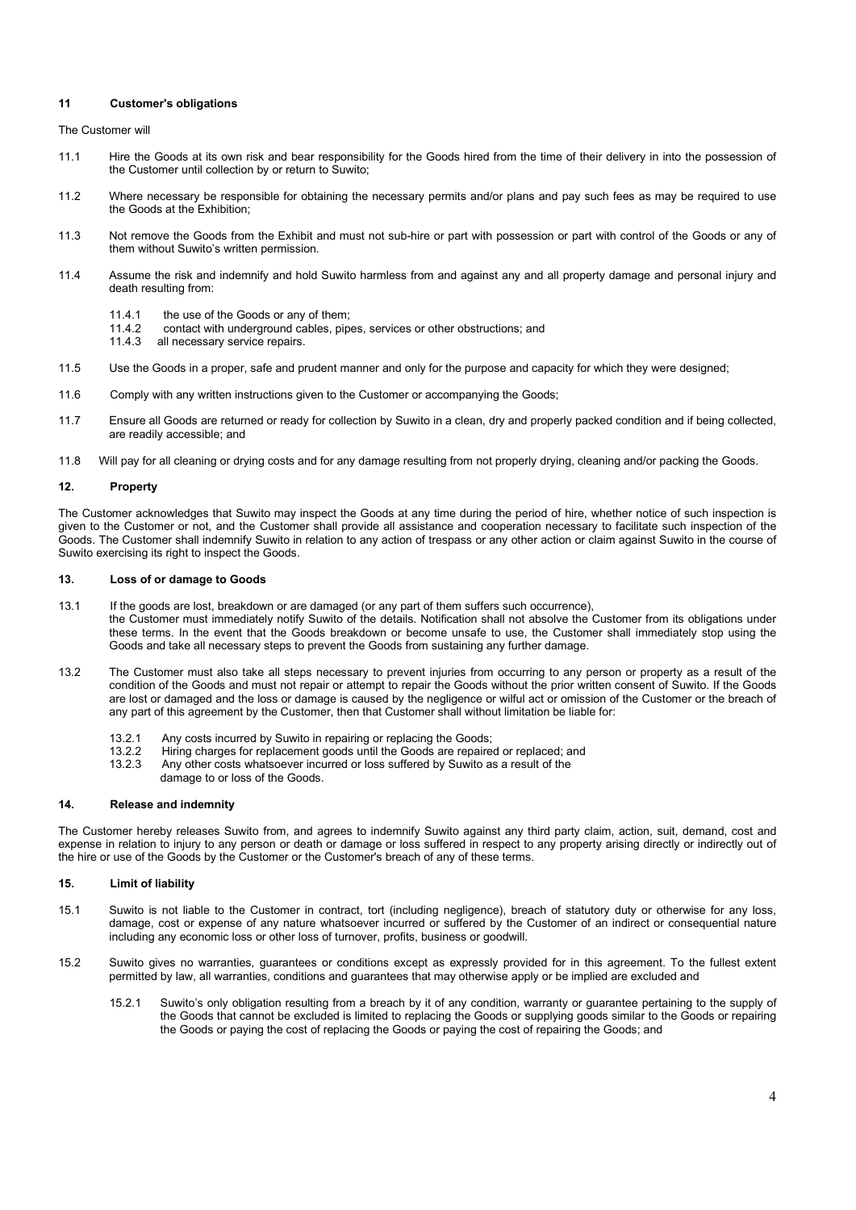## **11 Customer's obligations**

The Customer will

- 11.1 Hire the Goods at its own risk and bear responsibility for the Goods hired from the time of their delivery in into the possession of the Customer until collection by or return to Suwito;
- 11.2 Where necessary be responsible for obtaining the necessary permits and/or plans and pay such fees as may be required to use the Goods at the Exhibition;
- 11.3 Not remove the Goods from the Exhibit and must not sub-hire or part with possession or part with control of the Goods or any of them without Suwito's written permission.
- 11.4 Assume the risk and indemnify and hold Suwito harmless from and against any and all property damage and personal injury and death resulting from:
	- 11.4.1 the use of the Goods or any of them;<br>11.4.2 contact with underground cables pin
	- 11.4.2 contact with underground cables, pipes, services or other obstructions; and 11.4.3 all necessary service repairs.
	- all necessary service repairs.
- 11.5 Use the Goods in a proper, safe and prudent manner and only for the purpose and capacity for which they were designed;
- 11.6 Comply with any written instructions given to the Customer or accompanying the Goods;
- 11.7 Ensure all Goods are returned or ready for collection by Suwito in a clean, dry and properly packed condition and if being collected, are readily accessible; and
- 11.8 Will pay for all cleaning or drying costs and for any damage resulting from not properly drying, cleaning and/or packing the Goods.

#### **12. Property**

The Customer acknowledges that Suwito may inspect the Goods at any time during the period of hire, whether notice of such inspection is given to the Customer or not, and the Customer shall provide all assistance and cooperation necessary to facilitate such inspection of the Goods. The Customer shall indemnify Suwito in relation to any action of trespass or any other action or claim against Suwito in the course of Suwito exercising its right to inspect the Goods.

#### **13. Loss of or damage to Goods**

- 13.1 If the goods are lost, breakdown or are damaged (or any part of them suffers such occurrence), the Customer must immediately notify Suwito of the details. Notification shall not absolve the Customer from its obligations under these terms. In the event that the Goods breakdown or become unsafe to use, the Customer shall immediately stop using the Goods and take all necessary steps to prevent the Goods from sustaining any further damage.
- 13.2 The Customer must also take all steps necessary to prevent injuries from occurring to any person or property as a result of the condition of the Goods and must not repair or attempt to repair the Goods without the prior written consent of Suwito. If the Goods are lost or damaged and the loss or damage is caused by the negligence or wilful act or omission of the Customer or the breach of any part of this agreement by the Customer, then that Customer shall without limitation be liable for:
	- 13.2.1 Any costs incurred by Suwito in repairing or replacing the Goods;<br>13.2.2 Hiring charges for replacement goods until the Goods are repaire
	- 13.2.2 Hiring charges for replacement goods until the Goods are repaired or replaced; and<br>13.2.3 Any other costs whatsoever incurred or loss suffered by Suwito as a result of the
	- Any other costs whatsoever incurred or loss suffered by Suwito as a result of the
	- damage to or loss of the Goods.

#### **14. Release and indemnity**

The Customer hereby releases Suwito from, and agrees to indemnify Suwito against any third party claim, action, suit, demand, cost and expense in relation to injury to any person or death or damage or loss suffered in respect to any property arising directly or indirectly out of the hire or use of the Goods by the Customer or the Customer's breach of any of these terms.

#### **15. Limit of liability**

- 15.1 Suwito is not liable to the Customer in contract, tort (including negligence), breach of statutory duty or otherwise for any loss, damage, cost or expense of any nature whatsoever incurred or suffered by the Customer of an indirect or consequential nature including any economic loss or other loss of turnover, profits, business or goodwill.
- 15.2 Suwito gives no warranties, guarantees or conditions except as expressly provided for in this agreement. To the fullest extent permitted by law, all warranties, conditions and guarantees that may otherwise apply or be implied are excluded and
	- 15.2.1 Suwito's only obligation resulting from a breach by it of any condition, warranty or guarantee pertaining to the supply of the Goods that cannot be excluded is limited to replacing the Goods or supplying goods similar to the Goods or repairing the Goods or paying the cost of replacing the Goods or paying the cost of repairing the Goods; and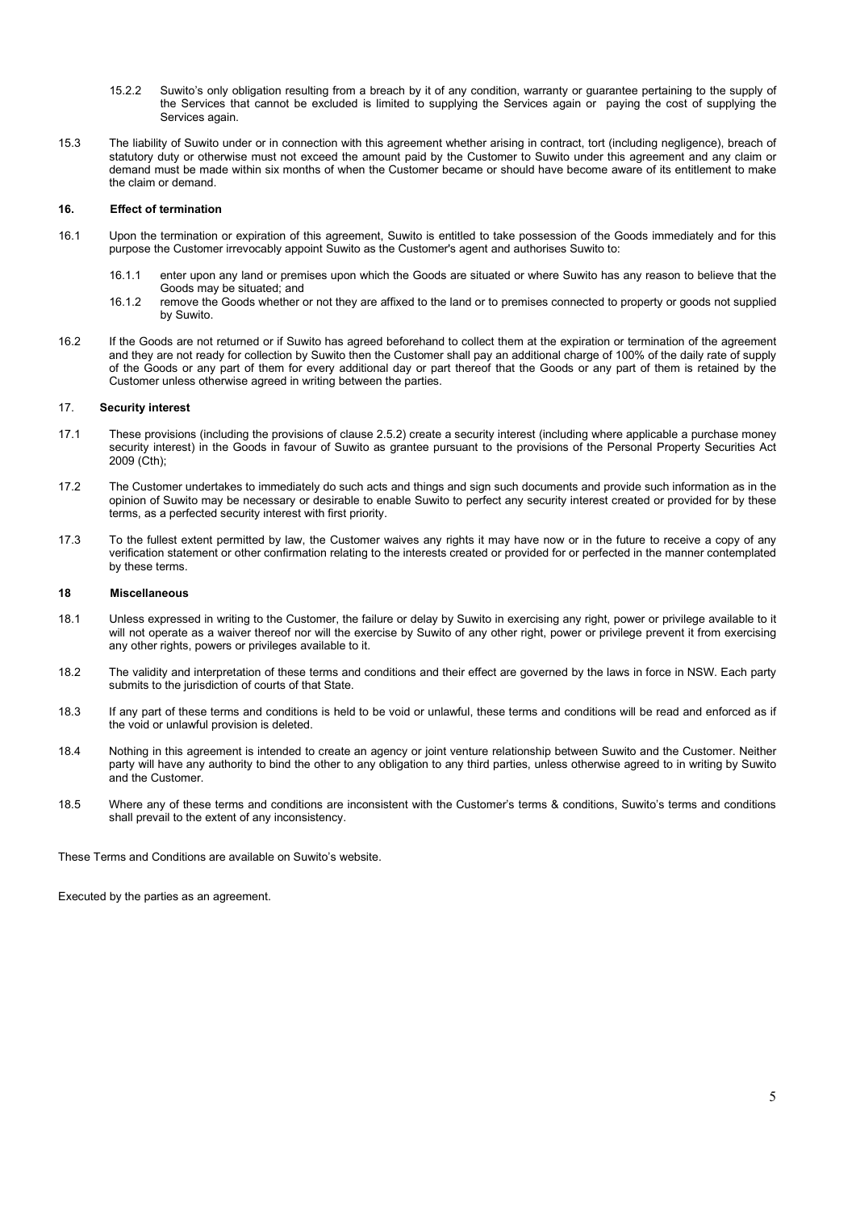- 15.2.2 Suwito's only obligation resulting from a breach by it of any condition, warranty or guarantee pertaining to the supply of the Services that cannot be excluded is limited to supplying the Services again or paying the cost of supplying the Services again.
- 15.3 The liability of Suwito under or in connection with this agreement whether arising in contract, tort (including negligence), breach of statutory duty or otherwise must not exceed the amount paid by the Customer to Suwito under this agreement and any claim or demand must be made within six months of when the Customer became or should have become aware of its entitlement to make the claim or demand.

#### **16. Effect of termination**

- 16.1 Upon the termination or expiration of this agreement, Suwito is entitled to take possession of the Goods immediately and for this purpose the Customer irrevocably appoint Suwito as the Customer's agent and authorises Suwito to:
	- 16.1.1 enter upon any land or premises upon which the Goods are situated or where Suwito has any reason to believe that the Goods may be situated; and
	- 16.1.2 remove the Goods whether or not they are affixed to the land or to premises connected to property or goods not supplied by Suwito.
- 16.2 If the Goods are not returned or if Suwito has agreed beforehand to collect them at the expiration or termination of the agreement and they are not ready for collection by Suwito then the Customer shall pay an additional charge of 100% of the daily rate of supply of the Goods or any part of them for every additional day or part thereof that the Goods or any part of them is retained by the Customer unless otherwise agreed in writing between the parties.

#### 17. **Security interest**

- 17.1 These provisions (including the provisions of clause 2.5.2) create a security interest (including where applicable a purchase money security interest) in the Goods in favour of Suwito as grantee pursuant to the provisions of the Personal Property Securities Act 2009 (Cth);
- 17.2 The Customer undertakes to immediately do such acts and things and sign such documents and provide such information as in the opinion of Suwito may be necessary or desirable to enable Suwito to perfect any security interest created or provided for by these terms, as a perfected security interest with first priority.
- 17.3 To the fullest extent permitted by law, the Customer waives any rights it may have now or in the future to receive a copy of any verification statement or other confirmation relating to the interests created or provided for or perfected in the manner contemplated by these terms.

#### **18 Miscellaneous**

- 18.1 Unless expressed in writing to the Customer, the failure or delay by Suwito in exercising any right, power or privilege available to it will not operate as a waiver thereof nor will the exercise by Suwito of any other right, power or privilege prevent it from exercising any other rights, powers or privileges available to it.
- 18.2 The validity and interpretation of these terms and conditions and their effect are governed by the laws in force in NSW. Each party submits to the jurisdiction of courts of that State.
- 18.3 If any part of these terms and conditions is held to be void or unlawful, these terms and conditions will be read and enforced as if the void or unlawful provision is deleted.
- 18.4 Nothing in this agreement is intended to create an agency or joint venture relationship between Suwito and the Customer. Neither party will have any authority to bind the other to any obligation to any third parties, unless otherwise agreed to in writing by Suwito and the Customer.
- 18.5 Where any of these terms and conditions are inconsistent with the Customer's terms & conditions, Suwito's terms and conditions shall prevail to the extent of any inconsistency.

These Terms and Conditions are available on Suwito's website.

Executed by the parties as an agreement.